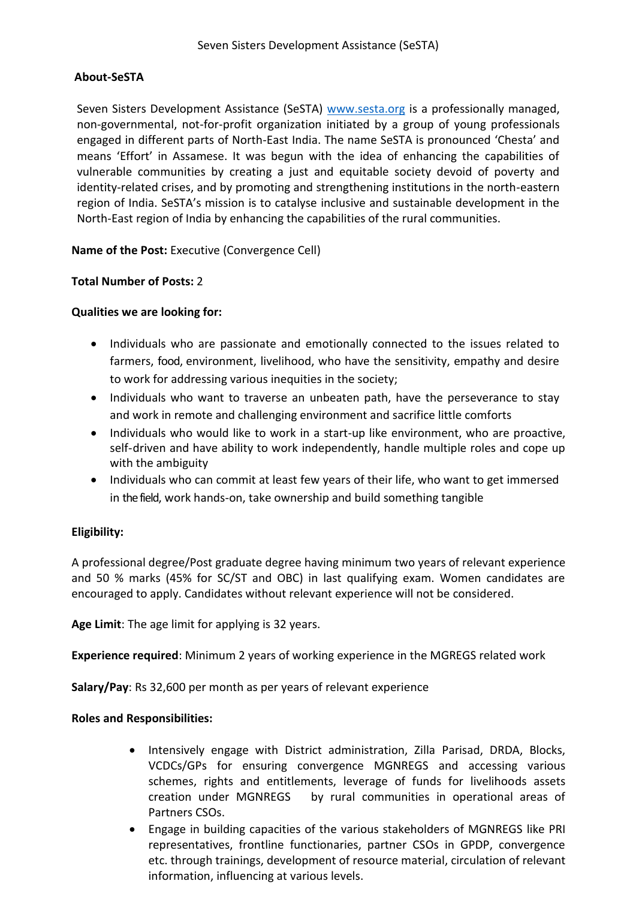### **About-SeSTA**

Seven Sisters Development Assistance (SeSTA) [www.sesta.org](http://www.sesta.org/) is a professionally managed, non-governmental, not-for-profit organization initiated by a group of young professionals engaged in different parts of North-East India. The name SeSTA is pronounced 'Chesta' and means 'Effort' in Assamese. It was begun with the idea of enhancing the capabilities of vulnerable communities by creating a just and equitable society devoid of poverty and identity-related crises, and by promoting and strengthening institutions in the north-eastern region of India. SeSTA's mission is to catalyse inclusive and sustainable development in the North-East region of India by enhancing the capabilities of the rural communities.

**Name of the Post:** Executive (Convergence Cell)

### **Total Number of Posts:** 2

### **Qualities we are looking for:**

- Individuals who are passionate and emotionally connected to the issues related to farmers, food, environment, livelihood, who have the sensitivity, empathy and desire to work for addressing various inequities in the society;
- Individuals who want to traverse an unbeaten path, have the perseverance to stay and work in remote and challenging environment and sacrifice little comforts
- Individuals who would like to work in a start-up like environment, who are proactive, self-driven and have ability to work independently, handle multiple roles and cope up with the ambiguity
- Individuals who can commit at least few years of their life, who want to get immersed in the field, work hands-on, take ownership and build something tangible

## **Eligibility:**

A professional degree/Post graduate degree having minimum two years of relevant experience and 50 % marks (45% for SC/ST and OBC) in last qualifying exam. Women candidates are encouraged to apply. Candidates without relevant experience will not be considered.

**Age Limit**: The age limit for applying is 32 years.

**Experience required**: Minimum 2 years of working experience in the MGREGS related work

**Salary/Pay**: Rs 32,600 per month as per years of relevant experience

### **Roles and Responsibilities:**

- Intensively engage with District administration, Zilla Parisad, DRDA, Blocks, VCDCs/GPs for ensuring convergence MGNREGS and accessing various schemes, rights and entitlements, leverage of funds for livelihoods assets creation under MGNREGS by rural communities in operational areas of Partners CSOs.
- Engage in building capacities of the various stakeholders of MGNREGS like PRI representatives, frontline functionaries, partner CSOs in GPDP, convergence etc. through trainings, development of resource material, circulation of relevant information, influencing at various levels.